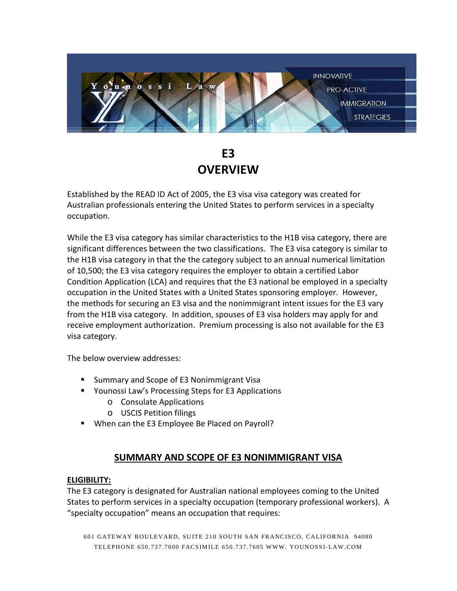

# **E3 OVERVIEW**

Established by the READ ID Act of 2005, the E3 visa visa category was created for Australian professionals entering the United States to perform services in a specialty occupation.

While the E3 visa category has similar characteristics to the H1B visa category, there are significant differences between the two classifications. The E3 visa category is similar to the H1B visa category in that the the category subject to an annual numerical limitation of 10,500; the E3 visa category requires the employer to obtain a certified Labor Condition Application (LCA) and requires that the E3 national be employed in a specialty occupation in the United States with a United States sponsoring employer. However, the methods for securing an E3 visa and the nonimmigrant intent issues for the E3 vary from the H1B visa category. In addition, spouses of E3 visa holders may apply for and receive employment authorization. Premium processing is also not available for the E3 visa category.

The below overview addresses:

- **E** Summary and Scope of E3 Nonimmigrant Visa
- Younossi Law's Processing Steps for E3 Applications
	- o Consulate Applications
	- o USCIS Petition filings
- **When can the E3 Employee Be Placed on Payroll?**

## **SUMMARY AND SCOPE OF E3 NONIMMIGRANT VISA**

#### **ELIGIBILITY:**

The E3 category is designated for Australian national employees coming to the United States to perform services in a specialty occupation (temporary professional workers). A "specialty occupation" means an occupation that requires: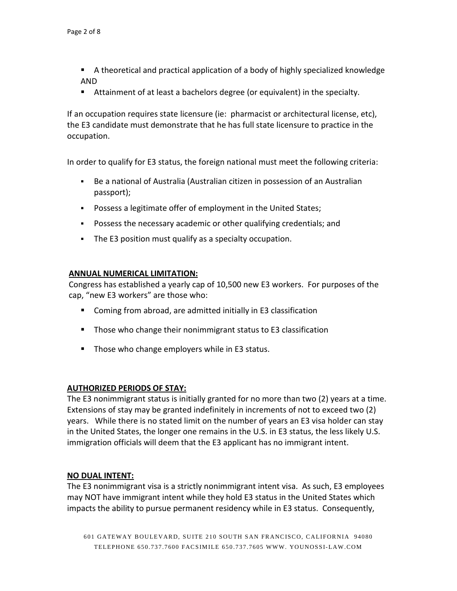- A theoretical and practical application of a body of highly specialized knowledge AND
- Attainment of at least a bachelors degree (or equivalent) in the specialty.

If an occupation requires state licensure (ie: pharmacist or architectural license, etc), the E3 candidate must demonstrate that he has full state licensure to practice in the occupation.

In order to qualify for E3 status, the foreign national must meet the following criteria:

- Be a national of Australia (Australian citizen in possession of an Australian passport);
- Possess a legitimate offer of employment in the United States;
- Possess the necessary academic or other qualifying credentials; and
- The E3 position must qualify as a specialty occupation.

#### **ANNUAL NUMERICAL LIMITATION:**

Congress has established a yearly cap of 10,500 new E3 workers. For purposes of the cap, "new E3 workers" are those who:

- Coming from abroad, are admitted initially in E3 classification
- Those who change their nonimmigrant status to E3 classification
- **Those who change employers while in E3 status.**

#### **AUTHORIZED PERIODS OF STAY:**

The E3 nonimmigrant status is initially granted for no more than two (2) years at a time. Extensions of stay may be granted indefinitely in increments of not to exceed two (2) years. While there is no stated limit on the number of years an E3 visa holder can stay in the United States, the longer one remains in the U.S. in E3 status, the less likely U.S. immigration officials will deem that the E3 applicant has no immigrant intent.

#### **NO DUAL INTENT:**

The E3 nonimmigrant visa is a strictly nonimmigrant intent visa. As such, E3 employees may NOT have immigrant intent while they hold E3 status in the United States which impacts the ability to pursue permanent residency while in E3 status. Consequently,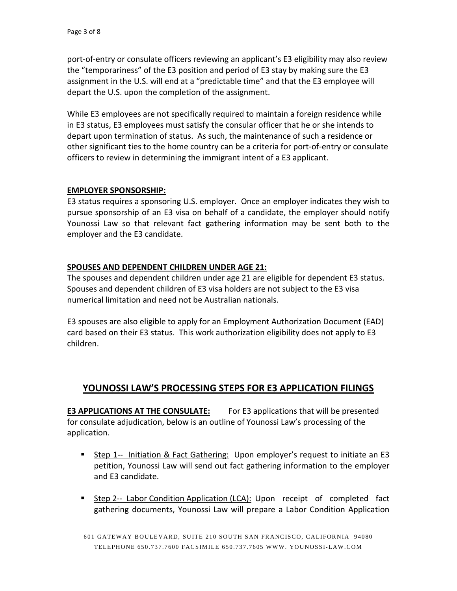port-of-entry or consulate officers reviewing an applicant's E3 eligibility may also review the "temporariness" of the E3 position and period of E3 stay by making sure the E3 assignment in the U.S. will end at a "predictable time" and that the E3 employee will depart the U.S. upon the completion of the assignment.

While E3 employees are not specifically required to maintain a foreign residence while in E3 status, E3 employees must satisfy the consular officer that he or she intends to depart upon termination of status. As such, the maintenance of such a residence or other significant ties to the home country can be a criteria for port-of-entry or consulate officers to review in determining the immigrant intent of a E3 applicant.

#### **EMPLOYER SPONSORSHIP:**

E3 status requires a sponsoring U.S. employer. Once an employer indicates they wish to pursue sponsorship of an E3 visa on behalf of a candidate, the employer should notify Younossi Law so that relevant fact gathering information may be sent both to the employer and the E3 candidate.

### **SPOUSES AND DEPENDENT CHILDREN UNDER AGE 21:**

The spouses and dependent children under age 21 are eligible for dependent E3 status. Spouses and dependent children of E3 visa holders are not subject to the E3 visa numerical limitation and need not be Australian nationals.

E3 spouses are also eligible to apply for an Employment Authorization Document (EAD) card based on their E3 status. This work authorization eligibility does not apply to E3 children.

## **YOUNOSSI LAW'S PROCESSING STEPS FOR E3 APPLICATION FILINGS**

**E3 APPLICATIONS AT THE CONSULATE:** For E3 applications that will be presented for consulate adjudication, below is an outline of Younossi Law's processing of the application.

- Step 1-- Initiation & Fact Gathering: Upon employer's request to initiate an E3 petition, Younossi Law will send out fact gathering information to the employer and E3 candidate.
- Step 2-- Labor Condition Application (LCA): Upon receipt of completed fact gathering documents, Younossi Law will prepare a Labor Condition Application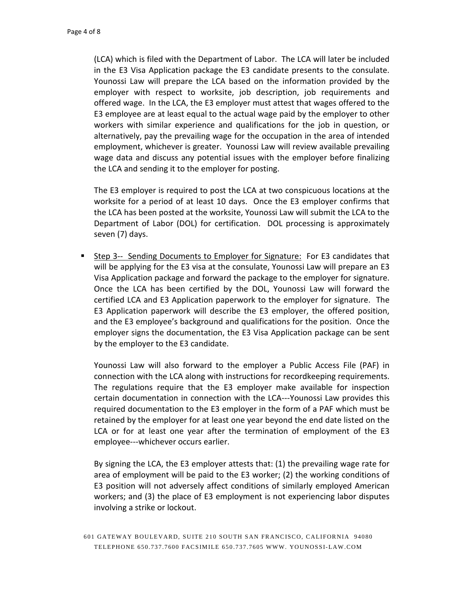(LCA) which is filed with the Department of Labor. The LCA will later be included in the E3 Visa Application package the E3 candidate presents to the consulate. Younossi Law will prepare the LCA based on the information provided by the employer with respect to worksite, job description, job requirements and offered wage. In the LCA, the E3 employer must attest that wages offered to the E3 employee are at least equal to the actual wage paid by the employer to other workers with similar experience and qualifications for the job in question, or alternatively, pay the prevailing wage for the occupation in the area of intended employment, whichever is greater. Younossi Law will review available prevailing wage data and discuss any potential issues with the employer before finalizing the LCA and sending it to the employer for posting.

The E3 employer is required to post the LCA at two conspicuous locations at the worksite for a period of at least 10 days. Once the E3 employer confirms that the LCA has been posted at the worksite, Younossi Law will submit the LCA to the Department of Labor (DOL) for certification. DOL processing is approximately seven (7) days.

 Step 3-- Sending Documents to Employer for Signature: For E3 candidates that will be applying for the E3 visa at the consulate, Younossi Law will prepare an E3 Visa Application package and forward the package to the employer for signature. Once the LCA has been certified by the DOL, Younossi Law will forward the certified LCA and E3 Application paperwork to the employer for signature. The E3 Application paperwork will describe the E3 employer, the offered position, and the E3 employee's background and qualifications for the position. Once the employer signs the documentation, the E3 Visa Application package can be sent by the employer to the E3 candidate.

Younossi Law will also forward to the employer a Public Access File (PAF) in connection with the LCA along with instructions for recordkeeping requirements. The regulations require that the E3 employer make available for inspection certain documentation in connection with the LCA---Younossi Law provides this required documentation to the E3 employer in the form of a PAF which must be retained by the employer for at least one year beyond the end date listed on the LCA or for at least one year after the termination of employment of the E3 employee---whichever occurs earlier.

By signing the LCA, the E3 employer attests that: (1) the prevailing wage rate for area of employment will be paid to the E3 worker; (2) the working conditions of E3 position will not adversely affect conditions of similarly employed American workers; and (3) the place of E3 employment is not experiencing labor disputes involving a strike or lockout.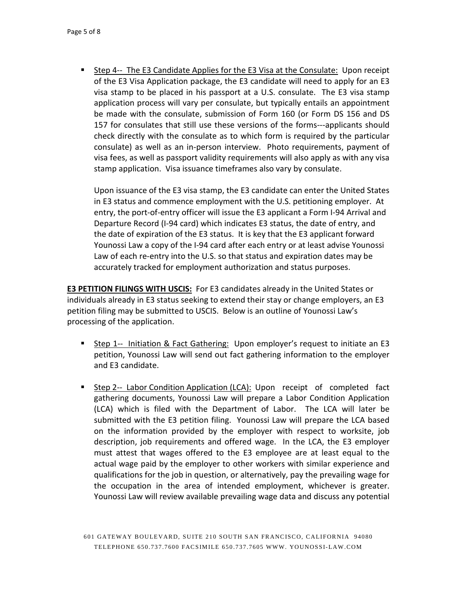Step 4-- The E3 Candidate Applies for the E3 Visa at the Consulate: Upon receipt of the E3 Visa Application package, the E3 candidate will need to apply for an E3 visa stamp to be placed in his passport at a U.S. consulate. The E3 visa stamp application process will vary per consulate, but typically entails an appointment be made with the consulate, submission of Form 160 (or Form DS 156 and DS 157 for consulates that still use these versions of the forms---applicants should check directly with the consulate as to which form is required by the particular consulate) as well as an in-person interview. Photo requirements, payment of visa fees, as well as passport validity requirements will also apply as with any visa stamp application. Visa issuance timeframes also vary by consulate.

Upon issuance of the E3 visa stamp, the E3 candidate can enter the United States in E3 status and commence employment with the U.S. petitioning employer. At entry, the port-of-entry officer will issue the E3 applicant a Form I-94 Arrival and Departure Record (I-94 card) which indicates E3 status, the date of entry, and the date of expiration of the E3 status. It is key that the E3 applicant forward Younossi Law a copy of the I-94 card after each entry or at least advise Younossi Law of each re-entry into the U.S. so that status and expiration dates may be accurately tracked for employment authorization and status purposes.

**E3 PETITION FILINGS WITH USCIS:** For E3 candidates already in the United States or individuals already in E3 status seeking to extend their stay or change employers, an E3 petition filing may be submitted to USCIS. Below is an outline of Younossi Law's processing of the application.

- **Step 1-- Initiation & Fact Gathering: Upon employer's request to initiate an E3** petition, Younossi Law will send out fact gathering information to the employer and E3 candidate.
- Step 2-- Labor Condition Application (LCA): Upon receipt of completed fact gathering documents, Younossi Law will prepare a Labor Condition Application (LCA) which is filed with the Department of Labor. The LCA will later be submitted with the E3 petition filing. Younossi Law will prepare the LCA based on the information provided by the employer with respect to worksite, job description, job requirements and offered wage. In the LCA, the E3 employer must attest that wages offered to the E3 employee are at least equal to the actual wage paid by the employer to other workers with similar experience and qualifications for the job in question, or alternatively, pay the prevailing wage for the occupation in the area of intended employment, whichever is greater. Younossi Law will review available prevailing wage data and discuss any potential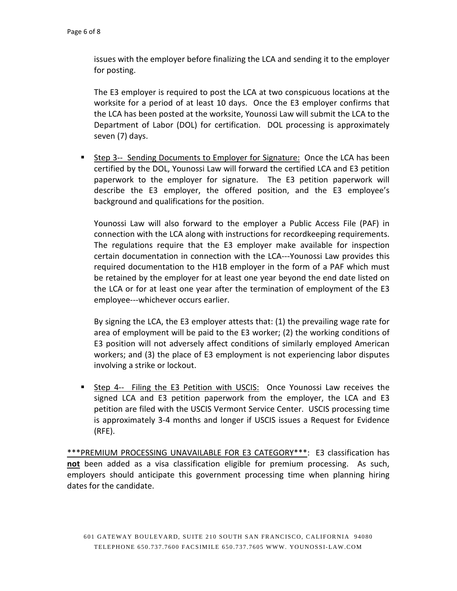issues with the employer before finalizing the LCA and sending it to the employer for posting.

The E3 employer is required to post the LCA at two conspicuous locations at the worksite for a period of at least 10 days. Once the E3 employer confirms that the LCA has been posted at the worksite, Younossi Law will submit the LCA to the Department of Labor (DOL) for certification. DOL processing is approximately seven (7) days.

 Step 3-- Sending Documents to Employer for Signature: Once the LCA has been certified by the DOL, Younossi Law will forward the certified LCA and E3 petition paperwork to the employer for signature. The E3 petition paperwork will describe the E3 employer, the offered position, and the E3 employee's background and qualifications for the position.

Younossi Law will also forward to the employer a Public Access File (PAF) in connection with the LCA along with instructions for recordkeeping requirements. The regulations require that the E3 employer make available for inspection certain documentation in connection with the LCA---Younossi Law provides this required documentation to the H1B employer in the form of a PAF which must be retained by the employer for at least one year beyond the end date listed on the LCA or for at least one year after the termination of employment of the E3 employee---whichever occurs earlier.

By signing the LCA, the E3 employer attests that: (1) the prevailing wage rate for area of employment will be paid to the E3 worker; (2) the working conditions of E3 position will not adversely affect conditions of similarly employed American workers; and (3) the place of E3 employment is not experiencing labor disputes involving a strike or lockout.

 Step 4-- Filing the E3 Petition with USCIS: Once Younossi Law receives the signed LCA and E3 petition paperwork from the employer, the LCA and E3 petition are filed with the USCIS Vermont Service Center. USCIS processing time is approximately 3-4 months and longer if USCIS issues a Request for Evidence (RFE).

\*\*\*PREMIUM PROCESSING UNAVAILABLE FOR E3 CATEGORY\*\*\*: E3 classification has **not** been added as a visa classification eligible for premium processing. As such, employers should anticipate this government processing time when planning hiring dates for the candidate.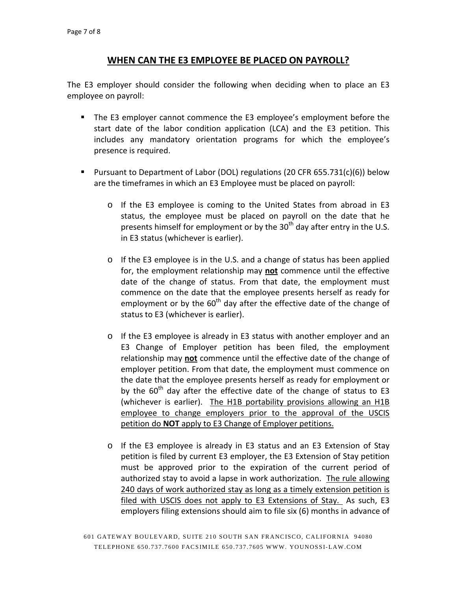## **WHEN CAN THE E3 EMPLOYEE BE PLACED ON PAYROLL?**

The E3 employer should consider the following when deciding when to place an E3 employee on payroll:

- The E3 employer cannot commence the E3 employee's employment before the start date of the labor condition application (LCA) and the E3 petition. This includes any mandatory orientation programs for which the employee's presence is required.
- Pursuant to Department of Labor (DOL) regulations (20 CFR 655.731(c)(6)) below are the timeframes in which an E3 Employee must be placed on payroll:
	- o If the E3 employee is coming to the United States from abroad in E3 status, the employee must be placed on payroll on the date that he presents himself for employment or by the  $30<sup>th</sup>$  day after entry in the U.S. in E3 status (whichever is earlier).
	- o If the E3 employee is in the U.S. and a change of status has been applied for, the employment relationship may **not** commence until the effective date of the change of status. From that date, the employment must commence on the date that the employee presents herself as ready for employment or by the  $60<sup>th</sup>$  day after the effective date of the change of status to E3 (whichever is earlier).
	- o If the E3 employee is already in E3 status with another employer and an E3 Change of Employer petition has been filed, the employment relationship may **not** commence until the effective date of the change of employer petition. From that date, the employment must commence on the date that the employee presents herself as ready for employment or by the  $60<sup>th</sup>$  day after the effective date of the change of status to E3 (whichever is earlier). The H1B portability provisions allowing an H1B employee to change employers prior to the approval of the USCIS petition do **NOT** apply to E3 Change of Employer petitions.
	- o If the E3 employee is already in E3 status and an E3 Extension of Stay petition is filed by current E3 employer, the E3 Extension of Stay petition must be approved prior to the expiration of the current period of authorized stay to avoid a lapse in work authorization. The rule allowing 240 days of work authorized stay as long as a timely extension petition is filed with USCIS does not apply to E3 Extensions of Stay. As such, E3 employers filing extensions should aim to file six (6) months in advance of